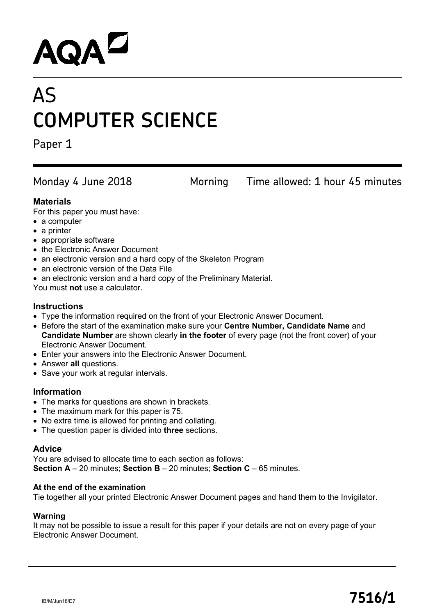# **AQAL**

## AS **COMPUTER SCIENCE**

Paper 1

Monday 4 June 2018 Morning Time allowed: 1 hour 45 minutes

#### **Materials**

For this paper you must have:

- a computer
- a printer
- appropriate software
- the Electronic Answer Document
- an electronic version and a hard copy of the Skeleton Program
- an electronic version of the Data File
- an electronic version and a hard copy of the Preliminary Material.

You must **not** use a calculator.

#### **Instructions**

- Type the information required on the front of your Electronic Answer Document.
- Before the start of the examination make sure your **Centre Number, Candidate Name** and **Candidate Number** are shown clearly **in the footer** of every page (not the front cover) of your Electronic Answer Document.
- Enter your answers into the Electronic Answer Document.
- Answer **all** questions.
- Save your work at regular intervals.

#### **Information**

- The marks for questions are shown in brackets.
- The maximum mark for this paper is 75.
- No extra time is allowed for printing and collating.
- The question paper is divided into **three** sections.

#### **Advice**

You are advised to allocate time to each section as follows: **Section A** – 20 minutes; **Section B** – 20 minutes; **Section C** – 65 minutes.

#### **At the end of the examination**

Tie together all your printed Electronic Answer Document pages and hand them to the Invigilator.

#### **Warning**

It may not be possible to issue a result for this paper if your details are not on every page of your Electronic Answer Document.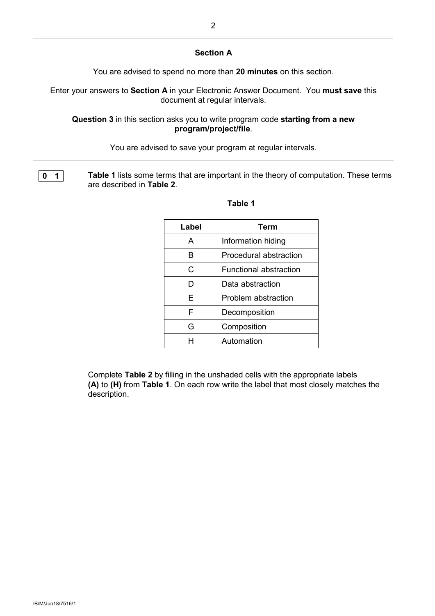#### **Section A**

You are advised to spend no more than **20 minutes** on this section.

Enter your answers to **Section A** in your Electronic Answer Document. You **must save** this document at regular intervals.

**Question 3** in this section asks you to write program code **starting from a new program/project/file**.

You are advised to save your program at regular intervals.

**0 1 1 Table 1** lists some terms that are important in the theory of computation. These terms are described in **Table 2**.

| Label | Term                          |
|-------|-------------------------------|
| А     | Information hiding            |
| R     | Procedural abstraction        |
| C     | <b>Functional abstraction</b> |
| D     | Data abstraction              |
| F     | Problem abstraction           |
| F     | Decomposition                 |
| G     | Composition                   |
| н     | Automation                    |

#### **Table 1**

Complete **Table 2** by filling in the unshaded cells with the appropriate labels **(A)** to **(H)** from **Table 1**. On each row write the label that most closely matches the description.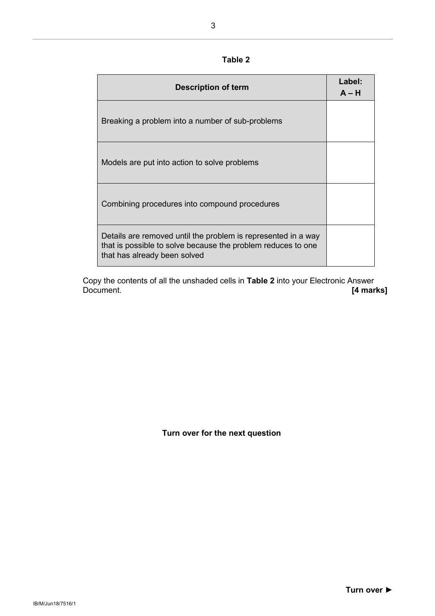#### **Table 2**

| <b>Description of term</b>                                                                                                                                    | Label:<br>$A - H$ |
|---------------------------------------------------------------------------------------------------------------------------------------------------------------|-------------------|
| Breaking a problem into a number of sub-problems                                                                                                              |                   |
| Models are put into action to solve problems                                                                                                                  |                   |
| Combining procedures into compound procedures                                                                                                                 |                   |
| Details are removed until the problem is represented in a way<br>that is possible to solve because the problem reduces to one<br>that has already been solved |                   |

Copy the contents of all the unshaded cells in **Table 2** into your Electronic Answer Document. **[4 marks]**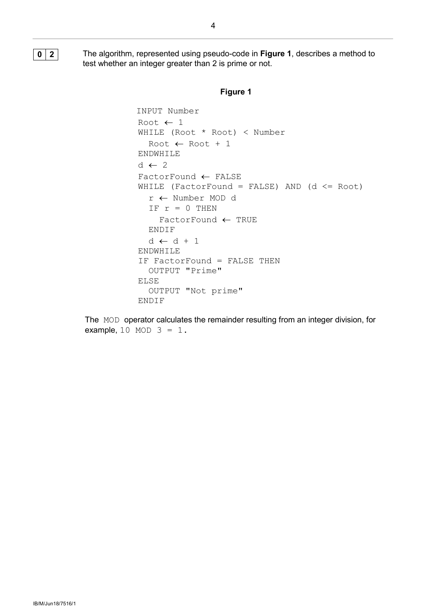**0 2** The algorithm, represented using pseudo-code in **Figure 1**, describes a method to test whether an integer greater than 2 is prime or not.

#### **Figure 1**

```
 INPUT Number
 Root ← 1
 WHILE (Root * Root) < Number 
   Root ← Root + 1
 ENDWHILE
d \leftarrow 2 FactorFound ← FALSE
WHILE (FactorFound = FALSE) AND (d \leq Root)
   r ← Number MOD d
  IF r = 0 THEN
     FactorFound ← TRUE
   ENDIF
  d \leftarrow d + 1 ENDWHILE
 IF FactorFound = FALSE THEN
   OUTPUT "Prime"
 ELSE
   OUTPUT "Not prime"
 ENDIF
```
The MOD operator calculates the remainder resulting from an integer division, for example,  $10$  MOD  $3 = 1$ .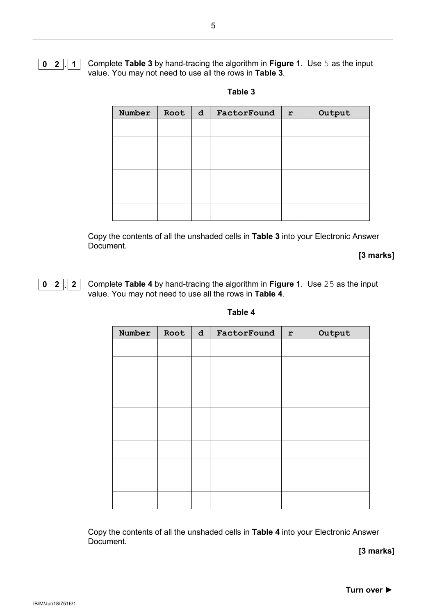

**0 2 . 1** Complete **Table 3** by hand-tracing the algorithm in **Figure 1**. Use 5 as the input value. You may not need to use all the rows in **Table 3**.

| Root | $\mathbf d$ | FactorFound | r | Output |
|------|-------------|-------------|---|--------|
|      |             |             |   |        |
|      |             |             |   |        |
|      |             |             |   |        |
|      |             |             |   |        |
|      |             |             |   |        |
|      |             |             |   |        |
|      |             |             |   |        |

**Table 3**

Copy the contents of all the unshaded cells in **Table 3** into your Electronic Answer Document.

**[3 marks]**

**0 2 . 2** Complete **Table 4** by hand-tracing the algorithm in **Figure 1**.Use 25 as the input value. You may not need to use all the rows in **Table 4**.

| Number | Root | $\mathbf d$ | FactorFound | $\mathbf r$ | Output |
|--------|------|-------------|-------------|-------------|--------|
|        |      |             |             |             |        |
|        |      |             |             |             |        |
|        |      |             |             |             |        |
|        |      |             |             |             |        |
|        |      |             |             |             |        |
|        |      |             |             |             |        |
|        |      |             |             |             |        |
|        |      |             |             |             |        |
|        |      |             |             |             |        |
|        |      |             |             |             |        |
|        |      |             |             |             |        |

**Table 4**

Copy the contents of all the unshaded cells in **Table 4** into your Electronic Answer Document.

**[3 marks]**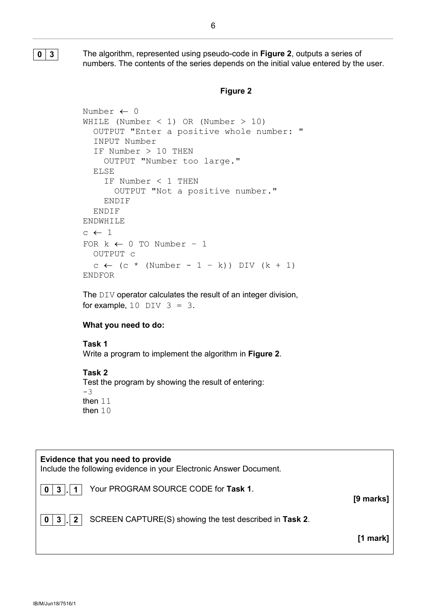**0 3** The algorithm, represented using pseudo-code in **Figure 2**, outputs a series of numbers. The contents of the series depends on the initial value entered by the user.

#### **Figure 2**

```
Number ← 0
WHILE (Number < 1) OR (Number > 10)
   OUTPUT "Enter a positive whole number: "
   INPUT Number
   IF Number > 10 THEN
     OUTPUT "Number too large."
   ELSE
     IF Number < 1 THEN
       OUTPUT "Not a positive number."
     ENDIF
   ENDIF
ENDWHILE
c \leftarrow 1FOR k \leftarrow 0 TO Number - 1
   OUTPUT c 
  c \leftarrow (c * (Number - 1 - k)) DIV (k + 1)ENDFOR
```
The DIV operator calculates the result of an integer division, for example,  $10$  DIV  $3 = 3$ .

#### **What you need to do:**

#### **Task 1**

Write a program to implement the algorithm in **Figure 2**.

#### **Task 2**

Test the program by showing the result of entering: -3 then 11 then 10

#### **Evidence that you need to provide**

Include the following evidence in your Electronic Answer Document.

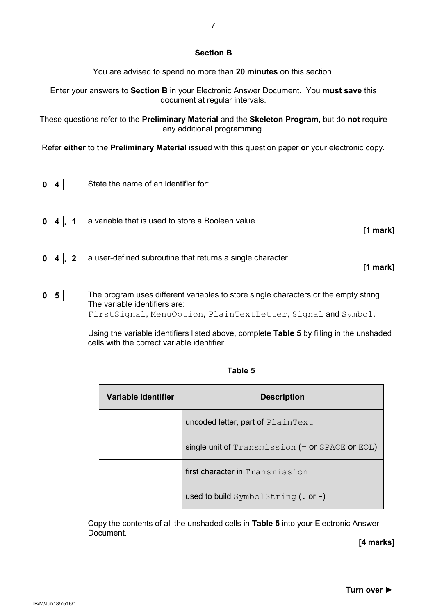#### **Section B**

You are advised to spend no more than **20 minutes** on this section.

Enter your answers to **Section B** in your Electronic Answer Document. You **must save** this document at regular intervals.

These questions refer to the **Preliminary Material** and the **Skeleton Program**, but do **not** require any additional programming.

Refer **either** to the **Preliminary Material** issued with this question paper **or** your electronic copy.

| 4              | State the name of an identifier for:                       |            |
|----------------|------------------------------------------------------------|------------|
| $\blacksquare$ | a variable that is used to store a Boolean value.          | $[1$ mark] |
| $\overline{2}$ | a user-defined subroutine that returns a single character. | [1 mark]   |
|                |                                                            |            |

**0 5** The program uses different variables to store single characters or the empty string. The variable identifiers are: FirstSignal, MenuOption, PlainTextLetter, Signal and Symbol.

> Using the variable identifiers listed above, complete **Table 5** by filling in the unshaded cells with the correct variable identifier.

| Variable identifier | <b>Description</b>                                |
|---------------------|---------------------------------------------------|
|                     | uncoded letter, part of PlainText                 |
|                     | single unit of $Transmission (= or SPACE or EOL)$ |
|                     | first character in Transmission                   |
|                     | used to build SymbolString $($ . or $-)$          |

#### **Table 5**

Copy the contents of all the unshaded cells in **Table 5** into your Electronic Answer Document.

**[4 marks]**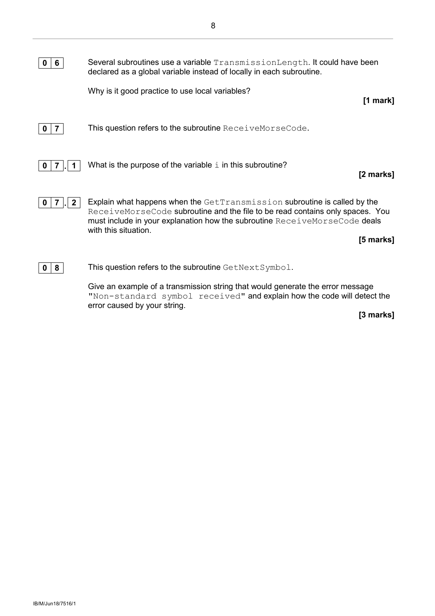Give an example of a transmission string that would generate the error message "Non-standard symbol received" and explain how the code will detect the error caused by your string.

**[3 marks]**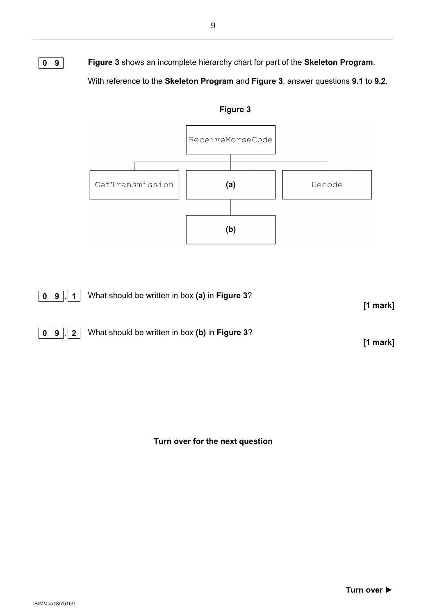**0 9 Figure 3** shows an incomplete hierarchy chart for part of the **Skeleton Program**. With reference to the **Skeleton Program** and **Figure 3**, answer questions **9.1** to **9.2**.



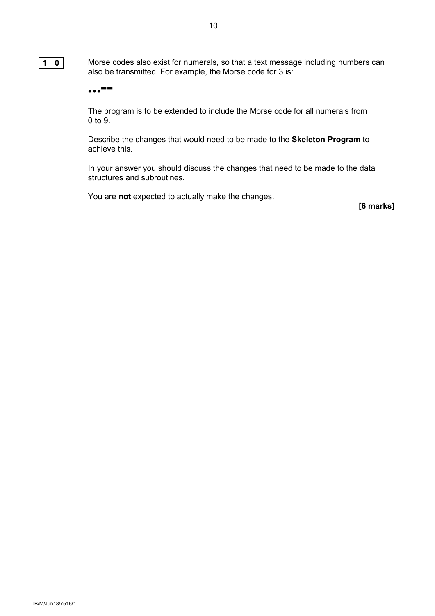

**10** Morse codes also exist for numerals, so that a text message including numbers can also be transmitted. For example, the Morse code for 3 is:

**...--**

The program is to be extended to include the Morse code for all numerals from 0 to 9.

Describe the changes that would need to be made to the **Skeleton Program** to achieve this.

In your answer you should discuss the changes that need to be made to the data structures and subroutines.

You are **not** expected to actually make the changes.

**[6 marks]**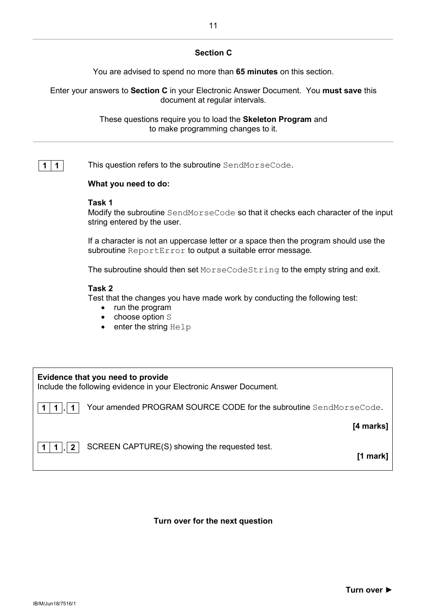#### **Section C**

You are advised to spend no more than **65 minutes** on this section.

Enter your answers to **Section C** in your Electronic Answer Document. You **must save** this document at regular intervals.

> These questions require you to load the **Skeleton Program** and to make programming changes to it.

**1** | **1** This question refers to the subroutine SendMorseCode.

#### **What you need to do:**

#### **Task 1**

Modify the subroutine SendMorseCode so that it checks each character of the input string entered by the user.

If a character is not an uppercase letter or a space then the program should use the subroutine ReportError to output a suitable error message.

The subroutine should then set MorseCodeString to the empty string and exit.

#### **Task 2**

Test that the changes you have made work by conducting the following test:

- run the program
- choose option S
- enter the string Help

### **Evidence that you need to provide** Include the following evidence in your Electronic Answer Document. **1 1 . 1** Your amended PROGRAM SOURCE CODE for the subroutine SendMorseCode.  **[4 marks]**

**1 1 . 2** SCREEN CAPTURE(S) showing the requested test.

**[1 mark]**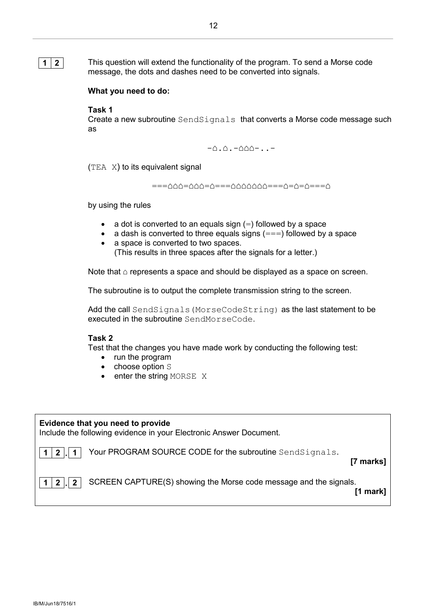**1 2** This question will extend the functionality of the program. To send a Morse code message, the dots and dashes need to be converted into signals.

#### **What you need to do:**

#### **Task 1**

Create a new subroutine SendSignals that converts a Morse code message such as

 $\triangle$ . $\triangle$ . $-\triangle$  $\triangle$ - $\triangle$ -..-

 $(TEA \ X)$  to its equivalent signal

===△△△=△△====△△△△△△△===△=△=△====△

by using the rules

- a dot is converted to an equals sign  $(=)$  followed by a space
- a dash is converted to three equals signs  $(==)$  followed by a space<br>• a space is converted to two spaces
- a space is converted to two spaces. (This results in three spaces after the signals for a letter.)

Note that  $\triangle$  represents a space and should be displayed as a space on screen.

The subroutine is to output the complete transmission string to the screen.

Add the call SendSignals (MorseCodeString) as the last statement to be executed in the subroutine SendMorseCode.

#### **Task 2**

Test that the changes you have made work by conducting the following test:

- run the program
- choose option S
- enter the string MORSE X

#### **Evidence that you need to provide**

Include the following evidence in your Electronic Answer Document.

**1 2 . 1** Your PROGRAM SOURCE CODE for the subroutine SendSignals.

**[7 marks]**



**[1 mark]**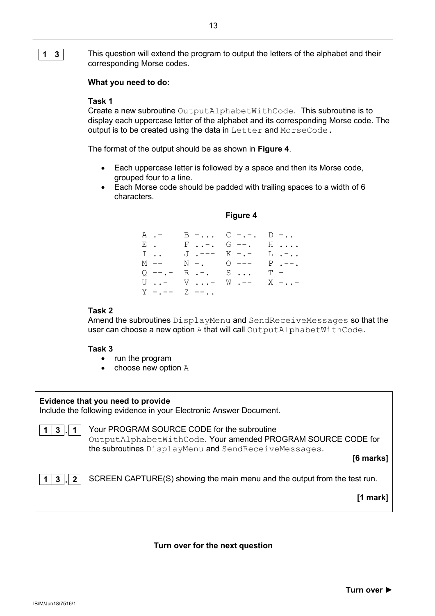**1 3** This question will extend the program to output the letters of the alphabet and their corresponding Morse codes.

#### **What you need to do:**

#### **Task 1**

Create a new subroutine OutputAlphabetWithCode. This subroutine is to display each uppercase letter of the alphabet and its corresponding Morse code. The output is to be created using the data in Letter and MorseCode.

The format of the output should be as shown in **Figure 4**.

- Each uppercase letter is followed by a space and then its Morse code, grouped four to a line.
- Each Morse code should be padded with trailing spaces to a width of 6 characters.

#### **Figure 4**

| A .- |                          | $B -  C - - -  D - $ |           |
|------|--------------------------|----------------------|-----------|
| Е.   |                          | F-. G --. H          |           |
| I    |                          | J.--- K -.- L.-      |           |
| M -- | $N -$ . $Q$ --- $P$ .--. |                      |           |
|      | $Q$ --.- R .-. S         |                      | $T -$     |
|      | U - V -                  | $W$ . $--$           | $X - . -$ |
|      | $Y$ -.-- $Z$ --          |                      |           |

#### **Task 2**

Amend the subroutines DisplayMenu and SendReceiveMessages so that the user can choose a new option A that will call OutputAlphabetWithCode.

#### **Task 3**

- run the program
- choose new option A

|                     | Evidence that you need to provide<br>Include the following evidence in your Electronic Answer Document.                                                                          |
|---------------------|----------------------------------------------------------------------------------------------------------------------------------------------------------------------------------|
| 3<br>$\mathsf{L}$ 1 | Your PROGRAM SOURCE CODE for the subroutine<br>OutputAlphabetWithCode. Your amended PROGRAM SOURCE CODE for<br>the subroutines DisplayMenu and SendReceiveMessages.<br>[6 marks] |
| 3                   | SCREEN CAPTURE(S) showing the main menu and the output from the test run.<br>[1 mark                                                                                             |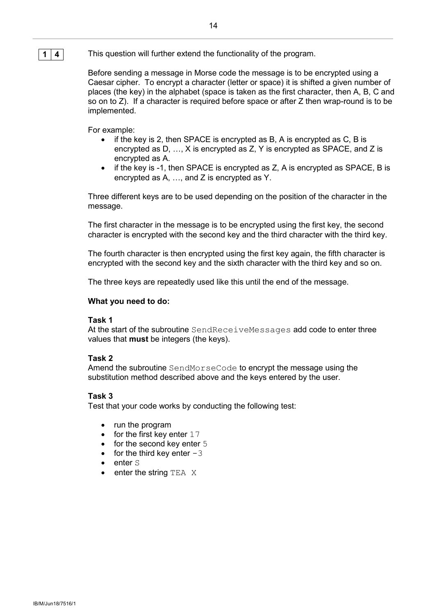#### **1 4** This question will further extend the functionality of the program.

Before sending a message in Morse code the message is to be encrypted using a Caesar cipher. To encrypt a character (letter or space) it is shifted a given number of places (the key) in the alphabet (space is taken as the first character, then A, B, C and so on to Z). If a character is required before space or after Z then wrap-round is to be implemented.

For example:

- if the key is 2, then SPACE is encrypted as B, A is encrypted as  $C$ , B is encrypted as D, …, X is encrypted as Z, Y is encrypted as SPACE, and Z is encrypted as A.
- if the key is -1, then SPACE is encrypted as Z, A is encrypted as SPACE, B is encrypted as A, …, and Z is encrypted as Y.

Three different keys are to be used depending on the position of the character in the message.

The first character in the message is to be encrypted using the first key, the second character is encrypted with the second key and the third character with the third key.

The fourth character is then encrypted using the first key again, the fifth character is encrypted with the second key and the sixth character with the third key and so on.

The three keys are repeatedly used like this until the end of the message.

#### **What you need to do:**

#### **Task 1**

At the start of the subroutine SendReceiveMessages add code to enter three values that **must** be integers (the keys).

#### **Task 2**

Amend the subroutine SendMorseCode to encrypt the message using the substitution method described above and the keys entered by the user.

#### **Task 3**

Test that your code works by conducting the following test:

- run the program
- for the first key enter  $17$
- for the second key enter 5
- for the third key enter  $-3$
- enter S<br>• enter th
- enter the string  $TER$   $X$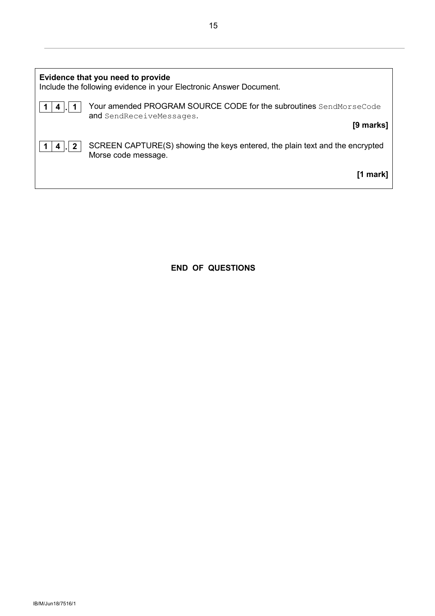|   | Evidence that you need to provide<br>Include the following evidence in your Electronic Answer Document. |
|---|---------------------------------------------------------------------------------------------------------|
| 4 | Your amended PROGRAM SOURCE CODE for the subroutines SendMorseCode<br>and SendReceiveMessages.          |
|   | [9 marks]                                                                                               |
|   | SCREEN CAPTURE(S) showing the keys entered, the plain text and the encrypted<br>Morse code message.     |
|   | [1 mark                                                                                                 |

**END OF QUESTIONS**